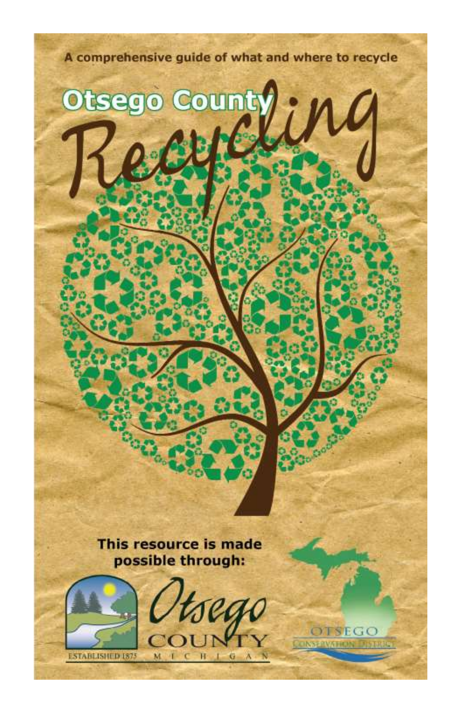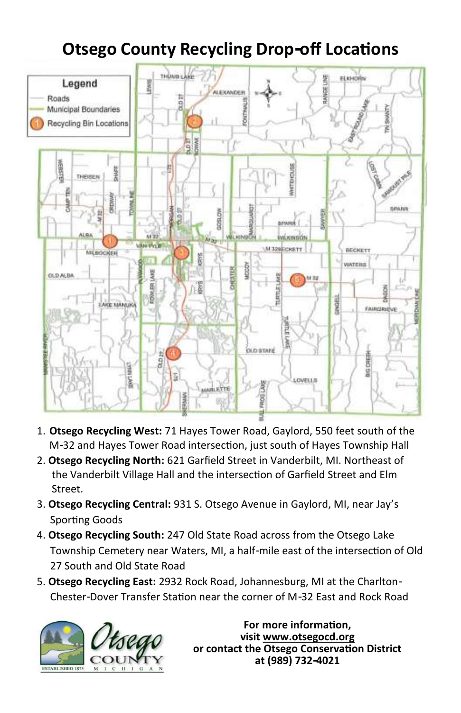## **Otsego County Recycling Drop-off Locations**



- 1. **Otsego Recycling West:** 71 Hayes Tower Road, Gaylord, 550 feet south of the M-32 and Hayes Tower Road intersection, just south of Hayes Township Hall
- 2. **Otsego Recycling North:** 621 Garfield Street in Vanderbilt, MI. Northeast of the Vanderbilt Village Hall and the intersection of Garfield Street and Elm Street.
- 3. **Otsego Recycling Central:** 931 S. Otsego Avenue in Gaylord, MI, near Jay's Sporting Goods
- 4. **Otsego Recycling South:** 247 Old State Road across from the Otsego Lake Township Cemetery near Waters, MI, a half-mile east of the intersection of Old 27 South and Old State Road
- 5. **Otsego Recycling East:** 2932 Rock Road, Johannesburg, MI at the Charlton- Chester-Dover Transfer Station near the corner of M-32 East and Rock Road



**For more information, visit www.otsegocd.org or contact the Otsego Conservation District at (989) 732-4021**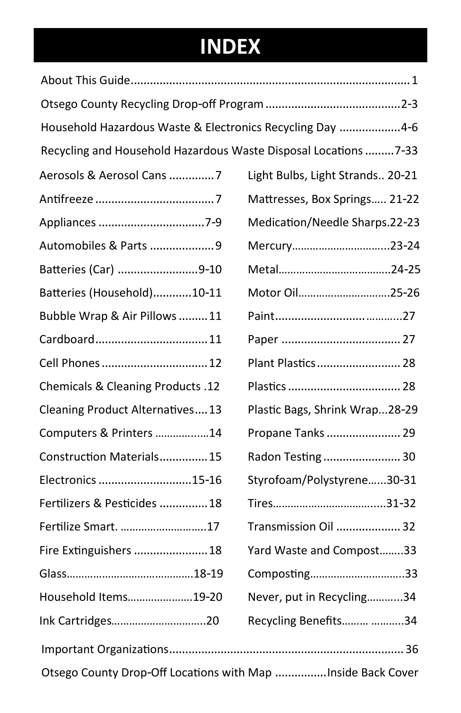## **INDEX**

| Household Hazardous Waste & Electronics Recycling Day  4-6       |                                  |
|------------------------------------------------------------------|----------------------------------|
| Recycling and Household Hazardous Waste Disposal Locations  7-33 |                                  |
| Aerosols & Aerosol Cans  7                                       | Light Bulbs, Light Strands 20-21 |
|                                                                  | Mattresses, Box Springs 21-22    |
|                                                                  | Medication/Needle Sharps.22-23   |
| Automobiles & Parts 9                                            | Mercury23-24                     |
| Batteries (Car) 9-10                                             |                                  |
| Batteries (Household)10-11                                       | Motor Oil25-26                   |
| Bubble Wrap & Air Pillows  11                                    |                                  |
|                                                                  |                                  |
| Cell Phones  12                                                  | Plant Plastics 28                |
| Chemicals & Cleaning Products .12                                |                                  |
| Cleaning Product Alternatives 13                                 | Plastic Bags, Shrink Wrap28-29   |
| Computers & Printers 14                                          | Propane Tanks  29                |
| Construction Materials 15                                        | Radon Testing 30                 |
| Electronics  15-16                                               | Styrofoam/Polystyrene30-31       |
| Fertilizers & Pesticides  18                                     |                                  |
| Fertilize Smart. 17                                              | Transmission Oil  32             |
| Fire Extinguishers  18                                           | Yard Waste and Compost33         |
|                                                                  | Composting33                     |
| Household Items19-20                                             | Never, put in Recycling34        |
| Ink Cartridges20                                                 | Recycling Benefits 34            |
|                                                                  |                                  |
| Otsego County Drop-Off Locations with Map  Inside Back Cover     |                                  |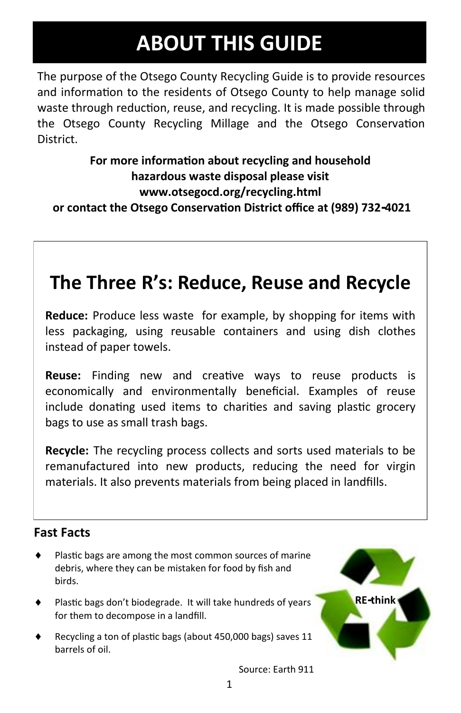## **ABOUT THIS GUIDE**

The purpose of the Otsego County Recycling Guide is to provide resources and information to the residents of Otsego County to help manage solid waste through reduction, reuse, and recycling. It is made possible through the Otsego County Recycling Millage and the Otsego Conservation District.

**For more information about recycling and household hazardous waste disposal please visit [www.otsegocd.org/recycling.html](http://www.otsegocd.org/recycling.html) or contact the Otsego Conservation District office at (989) 732-4021** 

## **The Three R's: Reduce, Reuse and Recycle**

**Reduce:** Produce less waste for example, by shopping for items with less packaging, using reusable containers and using dish clothes instead of paper towels.

**Reuse:** Finding new and creative ways to reuse products is economically and environmentally beneficial. Examples of reuse include donating used items to charities and saving plastic grocery bags to use as small trash bags.

**Recycle:** The recycling process collects and sorts used materials to be remanufactured into new products, reducing the need for virgin materials. It also prevents materials from being placed in landfills.

#### **Fast Facts**

- Plastic bags are among the most common sources of marine debris, where they can be mistaken for food by fish and birds.
- Plastic bags don't biodegrade. It will take hundreds of years for them to decompose in a landfill.
- Recycling a ton of plastic bags (about 450,000 bags) saves 11 barrels of oil.



Source: Earth 911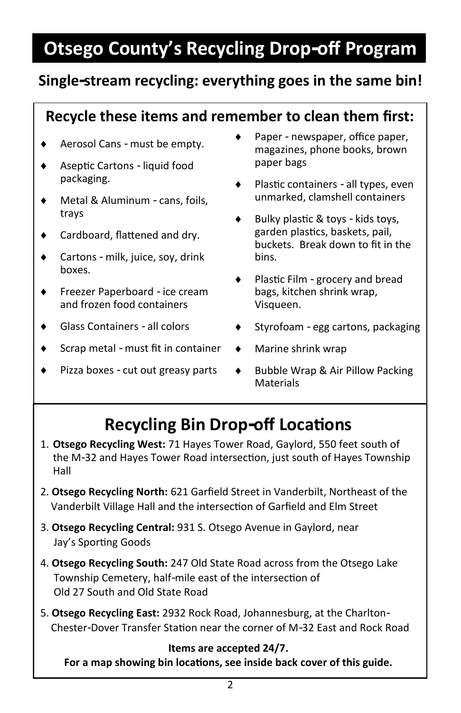## **Otsego County's Recycling Drop-off Program**

### **Single-stream recycling: everything goes in the same bin!**

### **Recycle these items and remember to clean them first:**

- Aerosol Cans must be empty.
- Aseptic Cartons liquid food packaging.
- Metal & Aluminum cans, foils, trays
- ◆ Cardboard, flattened and dry.
- $\bullet$  Cartons milk, juice, soy, drink boxes.
- ◆ Freezer Paperboard ice cream and frozen food containers
- Glass Containers all colors
- ◆ Scrap metal must fit in container → Marine shrink wrap
- $\bullet$  Pizza boxes cut out greasy parts
- ◆ Paper newspaper, office paper, magazines, phone books, brown paper bags
- ◆ Plastic containers all types, even unmarked, clamshell containers
- $\bullet$  Bulky plastic & toys kids toys, garden plastics, baskets, pail, buckets. Break down to fit in the bins.
- ◆ Plastic Film grocery and bread bags, kitchen shrink wrap, Visqueen.
- $\bullet$  Styrofoam egg cartons, packaging
- 
- ◆ Bubble Wrap & Air Pillow Packing **Materials**

## **Recycling Bin Drop-off Locations**

- 1. **Otsego Recycling West:** 71 Hayes Tower Road, Gaylord, 550 feet south of the M-32 and Hayes Tower Road intersection, just south of Hayes Township Hall
- 2. **Otsego Recycling North:** 621 Garfield Street in Vanderbilt, Northeast of the Vanderbilt Village Hall and the intersection of Garfield and Elm Street
- 3. **Otsego Recycling Central:** 931 S. Otsego Avenue in Gaylord, near Jay's Sporting Goods
- 4. **Otsego Recycling South:** 247 Old State Road across from the Otsego Lake Township Cemetery, half-mile east of the intersection of Old 27 South and Old State Road
- 5. **Otsego Recycling East:** 2932 Rock Road, Johannesburg, at the Charlton- Chester-Dover Transfer Station near the corner of M-32 East and Rock Road

**Items are accepted 24/7. For a map showing bin locations, see inside back cover of this guide.**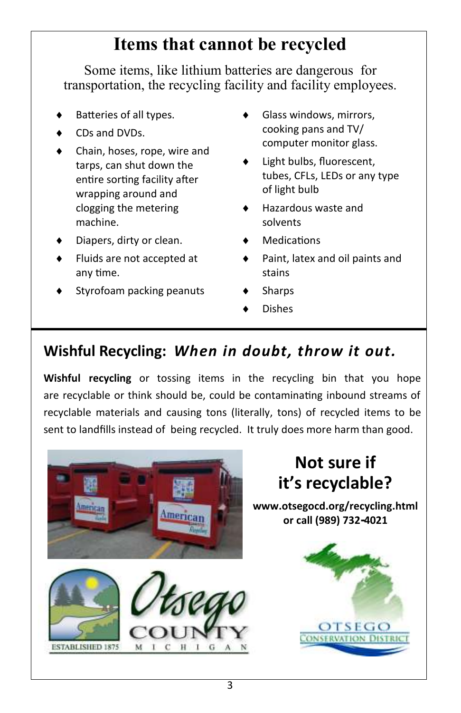## **Items that cannot be recycled**

Some items, like lithium batteries are dangerous for transportation, the recycling facility and facility employees.

- Batteries of all types.
- CDs and DVDs.
- Chain, hoses, rope, wire and tarps, can shut down the entire sorting facility after wrapping around and clogging the metering machine.
- Diapers, dirty or clean.
- Fluids are not accepted at any time.
- Styrofoam packing peanuts
- Glass windows, mirrors, cooking pans and TV/ computer monitor glass.
- Light bulbs, fluorescent, tubes, CFLs, LEDs or any type of light bulb
- Hazardous waste and solvents
- **Medications**
- Paint, latex and oil paints and stains
- **Sharps**
- Dishes

## **Wishful Recycling:** *When in doubt, throw it out.*

**Wishful recycling** or tossing items in the recycling bin that you hope are recyclable or think should be, could be contaminating inbound streams of recyclable materials and causing tons (literally, tons) of recycled items to be sent to landfills instead of being recycled. It truly does more harm than good.

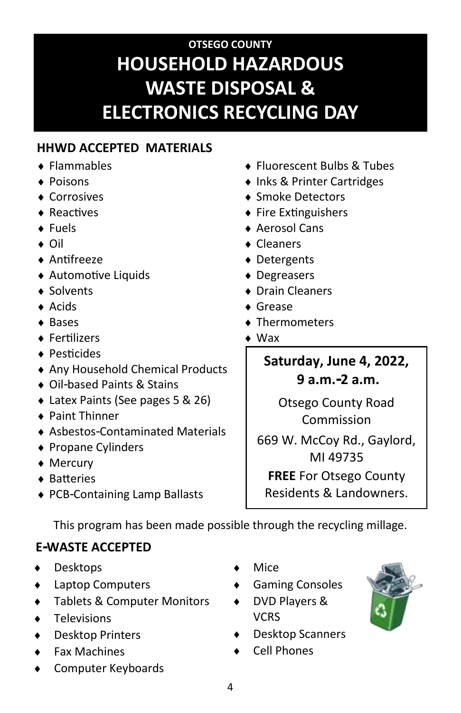## **OTSEGO COUNTY HOUSEHOLD HAZARDOUS WASTE DISPOSAL & ELECTRONICS RECYCLING DAY**

### **HHWD ACCEPTED MATERIALS**

- ◆ Flammables
- ◆ Poisons
- ◆ Corrosives
- ◆ Reactives
- Fuels
- ◆ Oil
- Antifreeze
- Automotive Liquids
- ◆ Solvents
- Acids
- $\triangle$  Bases
- Fertilizers
- ◆ Pesticides
- Any Household Chemical Products
- ◆ Oil-based Paints & Stains
- Latex Paints (See pages 5 & 26)
- Paint Thinner
- Asbestos-Contaminated Materials
- ◆ Propane Cylinders
- ◆ Mercury
- **◆ Batteries**
- ◆ PCB-Containing Lamp Ballasts
- ◆ Fluorescent Bulbs & Tubes
- ◆ Inks & Printer Cartridges
- ◆ Smoke Detectors
- $\triangle$  Fire Extinguishers
- ◆ Aerosol Cans
- ◆ Cleaners
- ◆ Detergents
- ◆ Degreasers
- ◆ Drain Cleaners
- Grease
- ◆ Thermometers
- Wax

**Saturday, June 4, 2022, 9 a.m.-2 a.m.**

Otsego County Road Commission

669 W. McCoy Rd., Gaylord, MI 49735

**FREE** For Otsego County Residents & Landowners.

This program has been made possible through the recycling millage.

### **E-WASTE ACCEPTED**

- ◆ Desktops
- ◆ Laptop Computers
- Tablets & Computer Monitors
- Televisions
- Desktop Printers
- Fax Machines
- Computer Keyboards
- Mice
- Gaming Consoles
- DVD Players & **VCRS**
- Desktop Scanners
- Cell Phones



4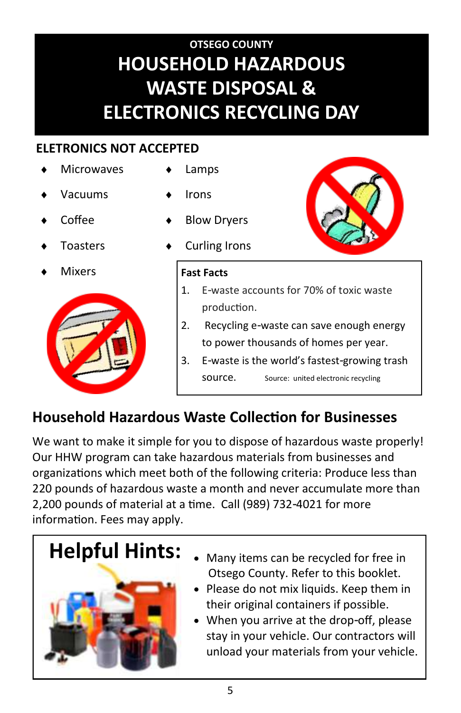## **OTSEGO COUNTY HOUSEHOLD HAZARDOUS WASTE DISPOSAL & ELECTRONICS RECYCLING DAY**

### **ELETRONICS NOT ACCEPTED**

- **Microwaves**
- Vacuums
- Coffee
- Toasters
- **Mixers**



### Lamps

- Irons
- Blow Dryers
- Curling Irons



- 1. E-waste accounts for 70% of toxic waste production.
- 2. Recycling e-waste can save enough energy to power thousands of homes per year.
- 3. E-waste is the world's fastest-growing trash source. Source: united electronic recycling

## **Household Hazardous Waste Collection for Businesses**

We want to make it simple for you to dispose of hazardous waste properly! Our HHW program can take hazardous materials from businesses and organizations which meet both of the following criteria: Produce less than 220 pounds of hazardous waste a month and never accumulate more than 2,200 pounds of material at a time. Call (989) 732-4021 for more information. Fees may apply.



- **Helpful Hints:** Many items can be recycled for free in Otsego County. Refer to this booklet.
	- Please do not mix liquids. Keep them in their original containers if possible.
	- When you arrive at the drop-off, please stay in your vehicle. Our contractors will unload your materials from your vehicle.

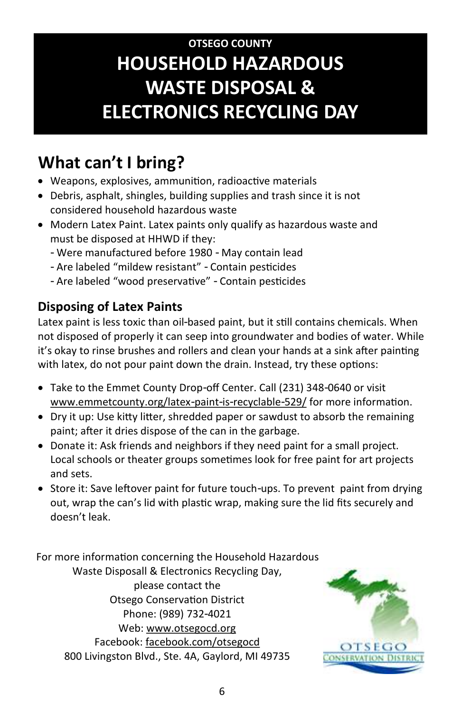## **OTSEGO COUNTY HOUSEHOLD HAZARDOUS WASTE DISPOSAL & ELECTRONICS RECYCLING DAY**

## **What can't I bring?**

- Weapons, explosives, ammunition, radioactive materials
- Debris, asphalt, shingles, building supplies and trash since it is not considered household hazardous waste
- Modern Latex Paint. Latex paints only qualify as hazardous waste and must be disposed at HHWD if they:
	- Were manufactured before 1980 May contain lead
	- Are labeled "mildew resistant" Contain pesticides
	- Are labeled "wood preservative" Contain pesticides

### **Disposing of Latex Paints**

Latex paint is less toxic than oil-based paint, but it still contains chemicals. When not disposed of properly it can seep into groundwater and bodies of water. While it's okay to rinse brushes and rollers and clean your hands at a sink after painting with latex, do not pour paint down the drain. Instead, try these options:

- Take to the Emmet County Drop-off Center. Call (231) 348-0640 or visit www.emmetcounty.org/latex-paint-is-recyclable-529/ for more information.
- Dry it up: Use kitty litter, shredded paper or sawdust to absorb the remaining paint; after it dries dispose of the can in the garbage.
- Donate it: Ask friends and neighbors if they need paint for a small project. Local schools or theater groups sometimes look for free paint for art projects and sets.
- Store it: Save leftover paint for future touch-ups. To prevent paint from drying out, wrap the can's lid with plastic wrap, making sure the lid fits securely and doesn't leak.

For more information concerning the Household Hazardous Waste Disposall & Electronics Recycling Day, please contact the Otsego Conservation District Phone: (989) 732-4021 Web: www.otsegocd.org Facebook: facebook.com/otsegocd 800 Livingston Blvd., Ste. 4A, Gaylord, MI 49735

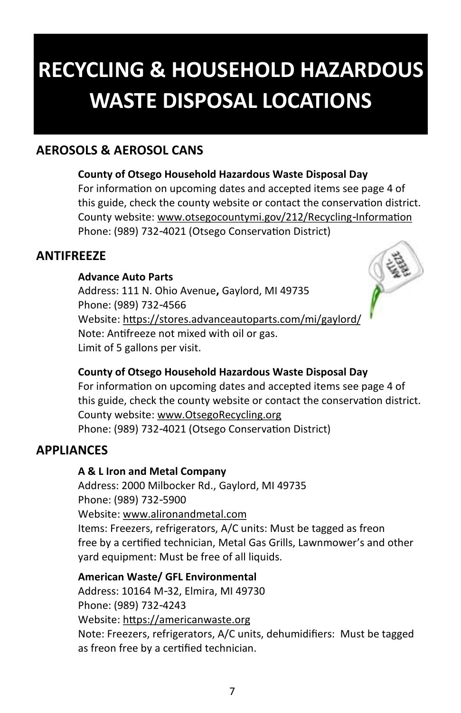## **RECYCLING & HOUSEHOLD HAZARDOUS WASTE DISPOSAL LOCATIONS**

### **AEROSOLS & AEROSOL CANS**

#### **County of Otsego Household Hazardous Waste Disposal Day**

For information on upcoming dates and accepted items see page 4 of this guide, check the county website or contact the conservation district. County website: www.otsegocountymi.gov/212/Recycling-Information Phone: (989) 732-4021 (Otsego Conservation District)

#### **ANTIFREEZE**

#### **Advance Auto Parts**

Address: 111 N. Ohio Avenue**,** Gaylord, MI 49735 Phone: (989) 732-4566 Website: https://stores.advanceautoparts.com/mi/gaylord/ Note: Antifreeze not mixed with oil or gas. Limit of 5 gallons per visit.



#### **County of Otsego Household Hazardous Waste Disposal Day**

For information on upcoming dates and accepted items see page 4 of this guide, check the county website or contact the conservation district. County website: www.OtsegoRecycling.org Phone: (989) 732-4021 (Otsego Conservation District)

#### **APPLIANCES**

#### **A & L Iron and Metal Company**

Address: 2000 Milbocker Rd., Gaylord, MI 49735 Phone: (989) 732-5900 Website: www.alironandmetal.com Items: Freezers, refrigerators, A/C units: Must be tagged as freon free by a certified technician, Metal Gas Grills, Lawnmower's and other yard equipment: Must be free of all liquids.

**American Waste/ GFL Environmental**  Address: 10164 M-32, Elmira, MI 49730 Phone: (989) 732-4243 Website: https://americanwaste.org Note: Freezers, refrigerators, A/C units, dehumidifiers: Must be tagged as freon free by a certified technician.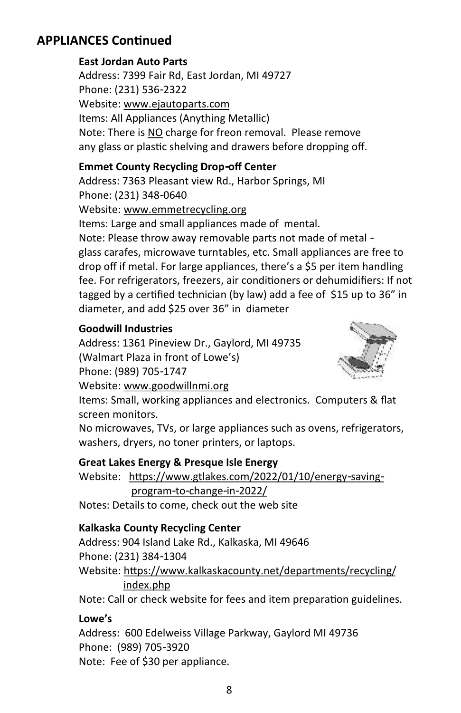### **APPLIANCES Continued**

#### **East Jordan Auto Parts**

Address: 7399 Fair Rd, East Jordan, MI 49727 Phone: (231) 536-2322 Website: www.ejautoparts.com Items: All Appliances (Anything Metallic) Note: There is NO charge for freon removal. Please remove any glass or plastic shelving and drawers before dropping off.

#### **Emmet County Recycling Drop-off Center**

Address: 7363 Pleasant view Rd., Harbor Springs, MI Phone: (231) 348-0640 Website: www.emmetrecycling.org Items: Large and small appliances made of mental. Note: Please throw away removable parts not made of metal glass carafes, microwave turntables, etc. Small appliances are free to drop off if metal. For large appliances, there's a \$5 per item handling fee. For refrigerators, freezers, air conditioners or dehumidifiers: If not tagged by a certified technician (by law) add a fee of \$15 up to 36" in diameter, and add \$25 over 36" in diameter

#### **Goodwill Industries**

Address: 1361 Pineview Dr., Gaylord, MI 49735 (Walmart Plaza in front of Lowe's) Phone: (989) 705-1747



Items: Small, working appliances and electronics. Computers & flat screen monitors.

No microwaves, TVs, or large appliances such as ovens, refrigerators, washers, dryers, no toner printers, or laptops.

#### **Great Lakes Energy & Presque Isle Energy**

Website: https://www.gtlakes.com/2022/01/10/energy-saving program-to-change-in-2022/

Notes: Details to come, check out the web site

#### **Kalkaska County Recycling Center**

Website: [www.goodwillnmi.org](http://www.goodwillnmi.org/)

Address: 904 Island Lake Rd., Kalkaska, MI 49646 Phone: (231) 384-1304 Website: https://www.kalkaskacounty.net/departments/recycling/ index.php

Note: Call or check website for fees and item preparation guidelines.

#### **Lowe's**

Address: 600 Edelweiss Village Parkway, Gaylord MI 49736 Phone: (989) 705-3920 Note: Fee of \$30 per appliance.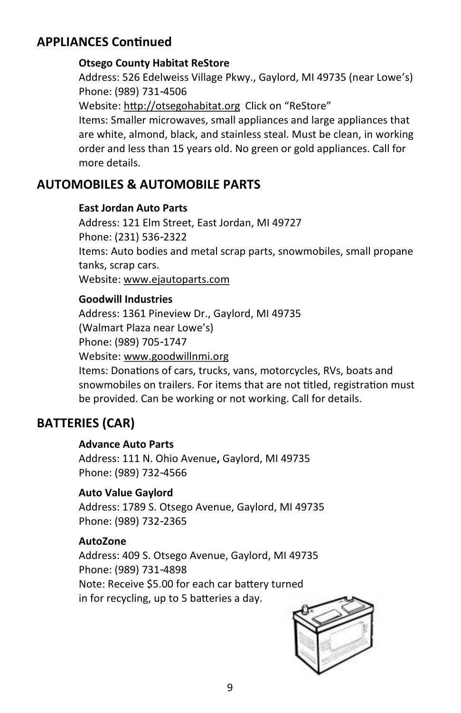### **APPLIANCES Continued**

#### **Otsego County Habitat ReStore**

Address: 526 Edelweiss Village Pkwy., Gaylord, MI 49735 (near Lowe's) Phone: (989) 731-4506 Website: http://otsegohabitat.org Click on "ReStore" Items: Smaller microwaves, small appliances and large appliances that are white, almond, black, and stainless steal. Must be clean, in working order and less than 15 years old. No green or gold appliances. Call for more details.

#### **AUTOMOBILES & AUTOMOBILE PARTS**

#### **East Jordan Auto Parts**

Address: 121 Elm Street, East Jordan, MI 49727 Phone: (231) 536-2322 Items: Auto bodies and metal scrap parts, snowmobiles, small propane tanks, scrap cars. Website: www.ejautoparts.com

#### **Goodwill Industries**

Address: 1361 Pineview Dr., Gaylord, MI 49735 (Walmart Plaza near Lowe's) Phone: (989) 705-1747 Website: [www.goodwillnmi.org](http://www.goodwillnmi.org/) Items: Donations of cars, trucks, vans, motorcycles, RVs, boats and snowmobiles on trailers. For items that are not titled, registration must be provided. Can be working or not working. Call for details.

#### **BATTERIES (CAR)**

#### **Advance Auto Parts**

Address: 111 N. Ohio Avenue**,** Gaylord, MI 49735 Phone: (989) 732-4566

#### **Auto Value Gaylord**

Address: 1789 S. Otsego Avenue, Gaylord, MI 49735 Phone: (989) 732-2365

#### **AutoZone**

Address: 409 S. Otsego Avenue, Gaylord, MI 49735 Phone: (989) 731-4898 Note: Receive \$5.00 for each car battery turned in for recycling, up to 5 batteries a day.

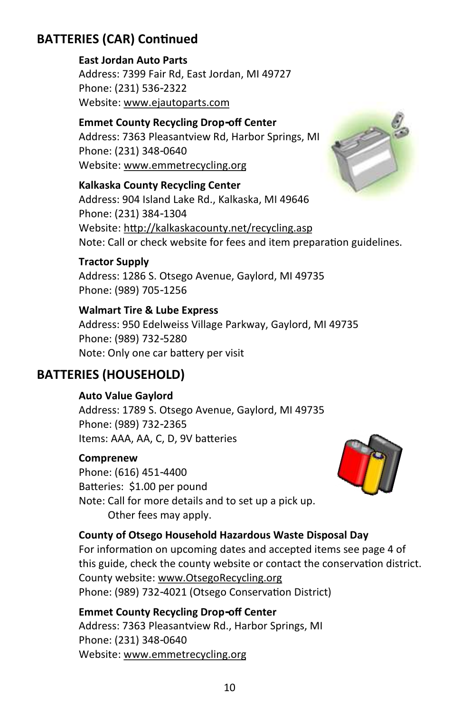### **BATTERIES (CAR) Continued**

**East Jordan Auto Parts** Address: 7399 Fair Rd, East Jordan, MI 49727 Phone: (231) 536-2322 Website: www.ejautoparts.com

**Emmet County Recycling Drop-off Center**  Address: 7363 Pleasantview Rd, Harbor Springs, MI Phone: (231) 348-0640 Website: www.emmetrecycling.org

**Kalkaska County Recycling Center**

Address: 904 Island Lake Rd., Kalkaska, MI 49646 Phone: (231) 384-1304 Website: <http://kalkaskacounty.net/recycling.asp> Note: Call or check website for fees and item preparation guidelines.

#### **Tractor Supply**

Address: 1286 S. Otsego Avenue, Gaylord, MI 49735 Phone: (989) 705-1256

**Walmart Tire & Lube Express** Address: 950 Edelweiss Village Parkway, Gaylord, MI 49735 Phone: (989) 732-5280 Note: Only one car battery per visit

### **BATTERIES (HOUSEHOLD)**

**Auto Value Gaylord**

Address: 1789 S. Otsego Avenue, Gaylord, MI 49735 Phone: (989) 732-2365 Items: AAA, AA, C, D, 9V batteries

#### **Comprenew**

Phone: (616) 451-4400 Batteries: \$1.00 per pound Note: Call for more details and to set up a pick up. Other fees may apply.



#### **County of Otsego Household Hazardous Waste Disposal Day**

For information on upcoming dates and accepted items see page 4 of this guide, check the county website or contact the conservation district. County website: www.OtsegoRecycling.org Phone: (989) 732-4021 (Otsego Conservation District)

**Emmet County Recycling Drop-off Center**  Address: 7363 Pleasantview Rd., Harbor Springs, MI Phone: (231) 348-0640 Website: www.emmetrecycling.org

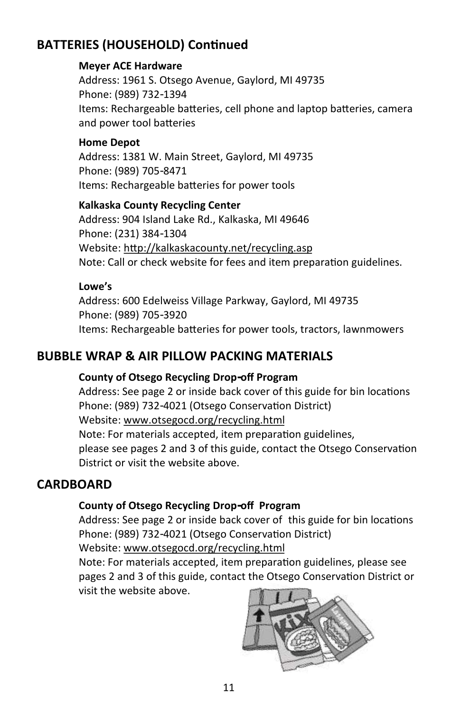### **BATTERIES (HOUSEHOLD) Continued**

#### **Meyer ACE Hardware**

Address: 1961 S. Otsego Avenue, Gaylord, MI 49735 Phone: (989) 732-1394 Items: Rechargeable batteries, cell phone and laptop batteries, camera and power tool batteries

#### **Home Depot**

Address: 1381 W. Main Street, Gaylord, MI 49735 Phone: (989) 705-8471 Items: Rechargeable batteries for power tools

#### **Kalkaska County Recycling Center**

Address: 904 Island Lake Rd., Kalkaska, MI 49646 Phone: (231) 384-1304 Website: <http://kalkaskacounty.net/recycling.asp> Note: Call or check website for fees and item preparation guidelines.

#### **Lowe's**

Address: 600 Edelweiss Village Parkway, Gaylord, MI 49735 Phone: (989) 705-3920 Items: Rechargeable batteries for power tools, tractors, lawnmowers

### **BUBBLE WRAP & AIR PILLOW PACKING MATERIALS**

#### **County of Otsego Recycling Drop-off Program**

Address: See page 2 or inside back cover of this guide for bin locations Phone: (989) 732-4021 (Otsego Conservation District) Website: [www.otsegocd.org/recycling.html](http://www.otsegocd.org/recycling.html) Note: For materials accepted, item preparation guidelines, please see pages 2 and 3 of this guide, contact the Otsego Conservation District or visit the website above.

#### **CARDBOARD**

#### **County of Otsego Recycling Drop-off Program**

Address: See page 2 or inside back cover of this guide for bin locations Phone: (989) 732-4021 (Otsego Conservation District)

Website: [www.otsegocd.org/recycling.html](http://www.otsegocd.org/recycling.html)

Note: For materials accepted, item preparation guidelines, please see pages 2 and 3 of this guide, contact the Otsego Conservation District or visit the website above.

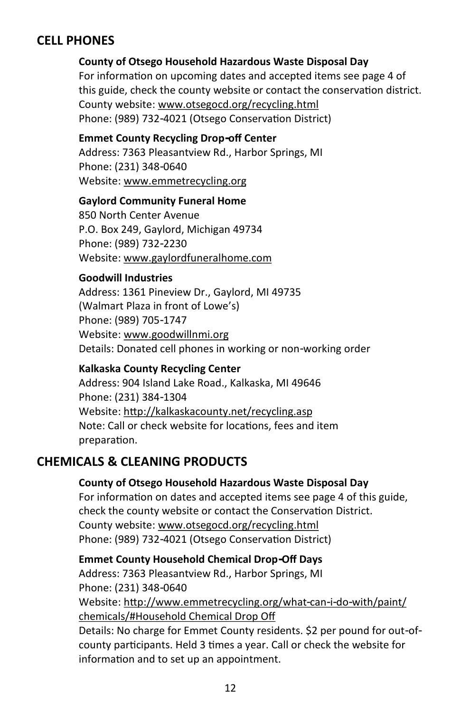### **CELL PHONES**

#### **County of Otsego Household Hazardous Waste Disposal Day**

For information on upcoming dates and accepted items see page 4 of this guide, check the county website or contact the conservation district. County website: [www.otsegocd.org/recycling.html](http://www.otsegocd.org/recycling.html) Phone: (989) 732-4021 (Otsego Conservation District)

#### **Emmet County Recycling Drop-off Center**

Address: 7363 Pleasantview Rd., Harbor Springs, MI Phone: (231) 348-0640 Website: www.emmetrecycling.org

#### **Gaylord Community Funeral Home**

850 North Center Avenue P.O. Box 249, Gaylord, Michigan 49734 Phone: (989) 732-2230 Website: www.gaylordfuneralhome.com

#### **Goodwill Industries**

Address: 1361 Pineview Dr., Gaylord, MI 49735 (Walmart Plaza in front of Lowe's) Phone: (989) 705-1747 Website: [www.goodwillnmi.org](http://www.goodwillnmi.org/) Details: Donated cell phones in working or non-working order

#### **Kalkaska County Recycling Center**

Address: 904 Island Lake Road., Kalkaska, MI 49646 Phone: (231) 384-1304 Website: http://kalkaskacounty.net/recycling.asp Note: Call or check website for locations, fees and item preparation.

### **CHEMICALS & CLEANING PRODUCTS**

#### **County of Otsego Household Hazardous Waste Disposal Day**

For information on dates and accepted items see page 4 of this guide, check the county website or contact the Conservation District. County website: [www.otsegocd.org/recycling.html](http://www.otsegocd.org/recycling.html) Phone: (989) 732-4021 (Otsego Conservation District)

**Emmet County Household Chemical Drop-Off Days** Address: 7363 Pleasantview Rd., Harbor Springs, MI Phone: (231) 348-0640 Website: http://www.emmetrecycling.org/what-can-i-do-with/paint/ chemicals/#Household Chemical Drop Off Details: No charge for Emmet County residents. \$2 per pound for out-ofcounty participants. Held 3 times a year. Call or check the website for information and to set up an appointment.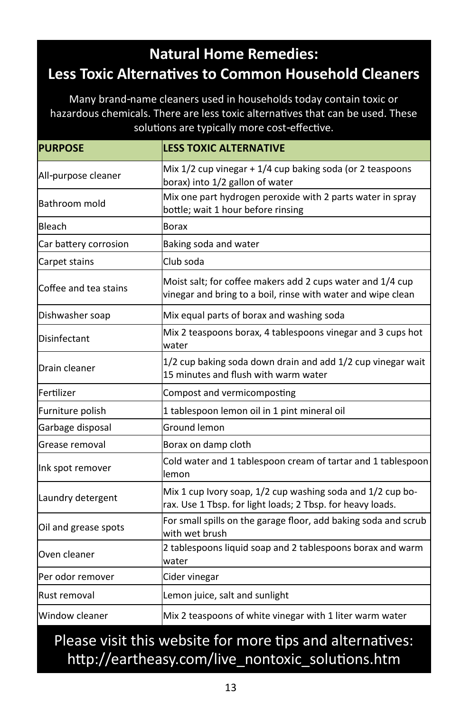### **Natural Home Remedies: Less Toxic Alternatives to Common Household Cleaners**

Many brand-name cleaners used in households today contain toxic or hazardous chemicals. There are less toxic alternatives that can be used. These solutions are typically more cost-effective.

| <b>PURPOSE</b>        | <b>LESS TOXIC ALTERNATIVE</b>                                                                                              |
|-----------------------|----------------------------------------------------------------------------------------------------------------------------|
| All-purpose cleaner   | Mix 1/2 cup vinegar + 1/4 cup baking soda (or 2 teaspoons<br>borax) into 1/2 gallon of water                               |
| Bathroom mold         | Mix one part hydrogen peroxide with 2 parts water in spray<br>bottle; wait 1 hour before rinsing                           |
| Bleach                | <b>Borax</b>                                                                                                               |
| Car battery corrosion | Baking soda and water                                                                                                      |
| Carpet stains         | Club soda                                                                                                                  |
| Coffee and tea stains | Moist salt; for coffee makers add 2 cups water and 1/4 cup<br>vinegar and bring to a boil, rinse with water and wipe clean |
| Dishwasher soap       | Mix equal parts of borax and washing soda                                                                                  |
| Disinfectant          | Mix 2 teaspoons borax, 4 tablespoons vinegar and 3 cups hot<br>water                                                       |
| Drain cleaner         | 1/2 cup baking soda down drain and add 1/2 cup vinegar wait<br>15 minutes and flush with warm water                        |
| Fertilizer            | Compost and vermicomposting                                                                                                |
| Furniture polish      | 1 tablespoon lemon oil in 1 pint mineral oil                                                                               |
| Garbage disposal      | Ground lemon                                                                                                               |
| Grease removal        | Borax on damp cloth                                                                                                        |
| Ink spot remover      | Cold water and 1 tablespoon cream of tartar and 1 tablespoon<br>lemon                                                      |
| Laundry detergent     | Mix 1 cup Ivory soap, 1/2 cup washing soda and 1/2 cup bo-<br>rax. Use 1 Tbsp. for light loads; 2 Tbsp. for heavy loads.   |
| Oil and grease spots  | For small spills on the garage floor, add baking soda and scrub<br>with wet brush                                          |
| Oven cleaner          | 2 tablespoons liquid soap and 2 tablespoons borax and warm<br>water                                                        |
| Per odor remover      | Cider vinegar                                                                                                              |
| Rust removal          | Lemon juice, salt and sunlight                                                                                             |
| Window cleaner        | Mix 2 teaspoons of white vinegar with 1 liter warm water                                                                   |

### Please visit this website for more tips and alternatives: http://eartheasy.com/live\_nontoxic\_solutions.htm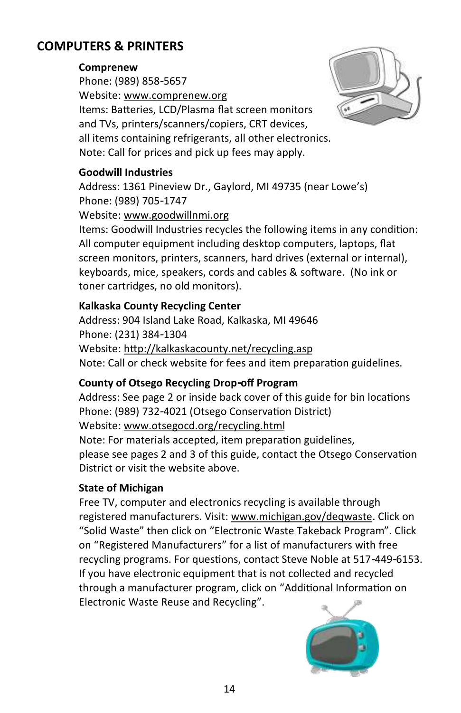### **COMPUTERS & PRINTERS**

#### **Comprenew**

Phone: (989) 858-5657 Website: www.comprenew.org Items: Batteries, LCD/Plasma flat screen monitors and TVs, printers/scanners/copiers, CRT devices, all items containing refrigerants, all other electronics. Note: Call for prices and pick up fees may apply.



#### **Goodwill Industries**

Address: 1361 Pineview Dr., Gaylord, MI 49735 (near Lowe's) Phone: (989) 705-1747

Website: [www.goodwillnmi.org](http://www.goodwillnmi.org/)

Items: Goodwill Industries recycles the following items in any condition: All computer equipment including desktop computers, laptops, flat screen monitors, printers, scanners, hard drives (external or internal), keyboards, mice, speakers, cords and cables & software. (No ink or toner cartridges, no old monitors).

#### **Kalkaska County Recycling Center**

Address: 904 Island Lake Road, Kalkaska, MI 49646 Phone: (231) 384-1304 Website: <http://kalkaskacounty.net/recycling.asp> Note: Call or check website for fees and item preparation guidelines.

#### **County of Otsego Recycling Drop-off Program**

Address: See page 2 or inside back cover of this guide for bin locations Phone: (989) 732-4021 (Otsego Conservation District) Website: [www.otsegocd.org/recycling.html](http://www.otsegocd.org/recycling.html) Note: For materials accepted, item preparation guidelines, please see pages 2 and 3 of this guide, contact the Otsego Conservation District or visit the website above.

#### **State of Michigan**

Free TV, computer and electronics recycling is available through registered manufacturers. Visit: [www.michigan.gov/deqwaste.](http://www.michigan.gov/deqwaste) Click on "Solid Waste" then click on "Electronic Waste Takeback Program". Click on "Registered Manufacturers" for a list of manufacturers with free recycling programs. For questions, contact Steve Noble at 517-449-6153. If you have electronic equipment that is not collected and recycled through a manufacturer program, click on "[Additional Information on](http://www.michigan.gov/deq/0,1607,7-135-3585_4130_18096---,00.html)  [Electronic Waste Reuse and Recycling".](http://www.michigan.gov/deq/0,1607,7-135-3585_4130_18096---,00.html)

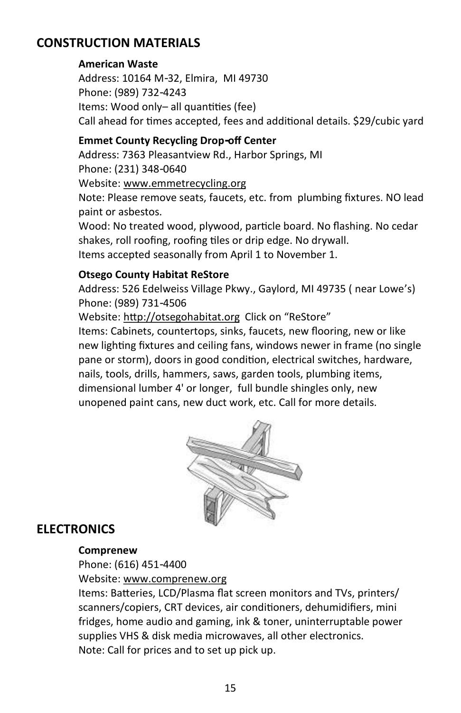### **CONSTRUCTION MATERIALS**

#### **American Waste**

Address: 10164 M-32, Elmira, MI 49730 Phone: (989) 732-4243 Items: Wood only– all quantities (fee) Call ahead for times accepted, fees and additional details. \$29/cubic yard

#### **Emmet County Recycling Drop-off Center**

Address: 7363 Pleasantview Rd., Harbor Springs, MI Phone: (231) 348-0640 Website: www.emmetrecycling.org Note: Please remove seats, faucets, etc. from plumbing fixtures. NO lead paint or asbestos.

Wood: No treated wood, plywood, particle board. No flashing. No cedar shakes, roll roofing, roofing tiles or drip edge. No drywall. Items accepted seasonally from April 1 to November 1.

#### **Otsego County Habitat ReStore**

Address: 526 Edelweiss Village Pkwy., Gaylord, MI 49735 ( near Lowe's) Phone: (989) 731-4506

Website: http://otsegohabitat.org Click on "ReStore"

Items: Cabinets, countertops, sinks, faucets, new flooring, new or like new lighting fixtures and ceiling fans, windows newer in frame (no single pane or storm), doors in good condition, electrical switches, hardware, nails, tools, drills, hammers, saws, garden tools, plumbing items, dimensional lumber 4' or longer, full bundle shingles only, new unopened paint cans, new duct work, etc. Call for more details.



#### **ELECTRONICS**

#### **Comprenew**

Phone: (616) 451-4400

Website: www.comprenew.org

Items: Batteries, LCD/Plasma flat screen monitors and TVs, printers/ scanners/copiers, CRT devices, air conditioners, dehumidifiers, mini fridges, home audio and gaming, ink & toner, uninterruptable power supplies VHS & disk media microwaves, all other electronics. Note: Call for prices and to set up pick up.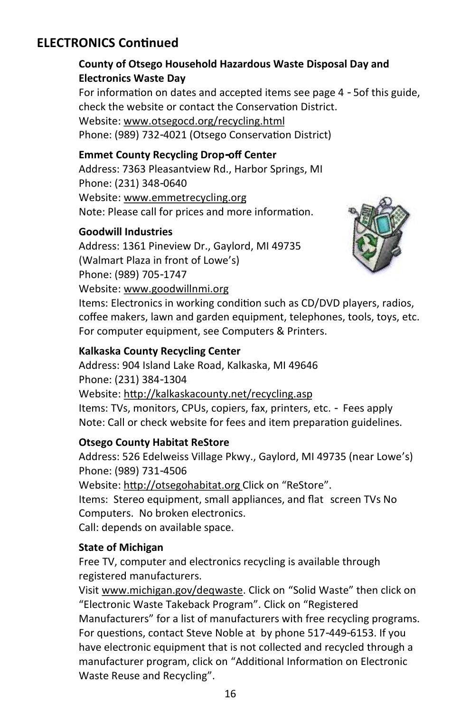### **ELECTRONICS Continued**

#### **County of Otsego Household Hazardous Waste Disposal Day and Electronics Waste Day**

For information on dates and accepted items see page 4 - 5of this guide, check the website or contact the Conservation District. Website: [www.otsegocd.org/recycling.html](http://www.otsegocd.org/recycling.html) Phone: (989) 732-4021 (Otsego Conservation District)

#### **Emmet County Recycling Drop-off Center**

Address: 7363 Pleasantview Rd., Harbor Springs, MI Phone: (231) 348-0640 Website: www.emmetrecycling.org Note: Please call for prices and more information.

#### **Goodwill Industries**

Address: 1361 Pineview Dr., Gaylord, MI 49735 (Walmart Plaza in front of Lowe's) Phone: (989) 705-1747 Website: [www.goodwillnmi.org](http://www.goodwillnmi.org/)



Items: Electronics in working condition such as CD/DVD players, radios, coffee makers, lawn and garden equipment, telephones, tools, toys, etc. For computer equipment, see Computers & Printers.

#### **Kalkaska County Recycling Center**

Address: 904 Island Lake Road, Kalkaska, MI 49646 Phone: (231) 384-1304 Website: <http://kalkaskacounty.net/recycling.asp> Items: TVs, monitors, CPUs, copiers, fax, printers, etc. - Fees apply Note: Call or check website for fees and item preparation guidelines.

#### **Otsego County Habitat ReStore**

Address: 526 Edelweiss Village Pkwy., Gaylord, MI 49735 (near Lowe's) Phone: (989) 731-4506 Website: http://otsegohabitat.org Click on "ReStore". Items: Stereo equipment, small appliances, and flat screen TVs No Computers. No broken electronics. Call: depends on available space.

#### **State of Michigan**

Free TV, computer and electronics recycling is available through registered manufacturers.

Visit [www.michigan.gov/deqwaste.](http://www.michigan.gov/deqwaste) Click on "Solid Waste" then click on "Electronic Waste Takeback Program". Click on "Registered Manufacturers" for a list of manufacturers with free recycling programs. For questions, contact Steve Noble at by phone 517-449-6153. If you have electronic equipment that is not collected and recycled through a manufacturer program, click on "[Additional Information on Electronic](http://www.michigan.gov/deq/0,1607,7-135-3585_4130_18096---,00.html)  [Waste Reuse and Recycling"](http://www.michigan.gov/deq/0,1607,7-135-3585_4130_18096---,00.html).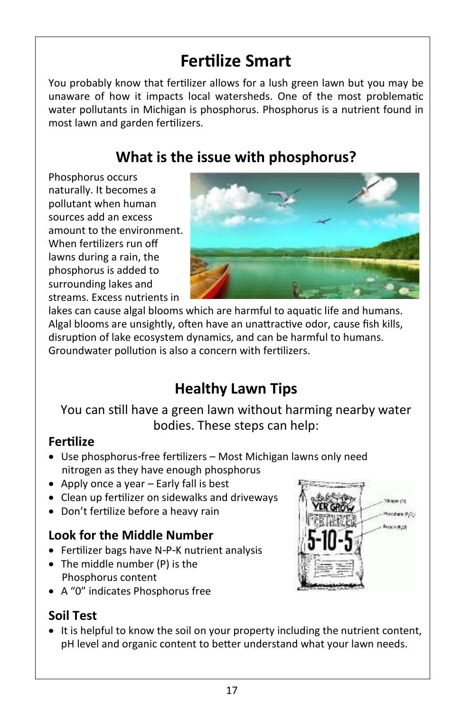## **Fertilize Smart**

You probably know that fertilizer allows for a lush green lawn but you may be unaware of how it impacts local watersheds. One of the most problematic water pollutants in Michigan is phosphorus. Phosphorus is a nutrient found in most lawn and garden fertilizers.

### **What is the issue with phosphorus?**

Phosphorus occurs naturally. It becomes a pollutant when human sources add an excess amount to the environment. When fertilizers run off lawns during a rain, the phosphorus is added to surrounding lakes and streams. Excess nutrients in



lakes can cause algal blooms which are harmful to aquatic life and humans. Algal blooms are unsightly, often have an unattractive odor, cause fish kills, disruption of lake ecosystem dynamics, and can be harmful to humans. Groundwater pollution is also a concern with fertilizers.

### **Healthy Lawn Tips**

You can still have a green lawn without harming nearby water bodies. These steps can help:

### **Fertilize**

- Use phosphorus-free fertilizers Most Michigan lawns only need nitrogen as they have enough phosphorus
- Apply once a year Early fall is best
- Clean up fertilizer on sidewalks and driveways
- Don't fertilize before a heavy rain

### **Look for the Middle Number**

- Fertilizer bags have N-P-K nutrient analysis
- The middle number (P) is the Phosphorus content
- A "0" indicates Phosphorus free

### **Soil Test**

• It is helpful to know the soil on your property including the nutrient content, pH level and organic content to better understand what your lawn needs.

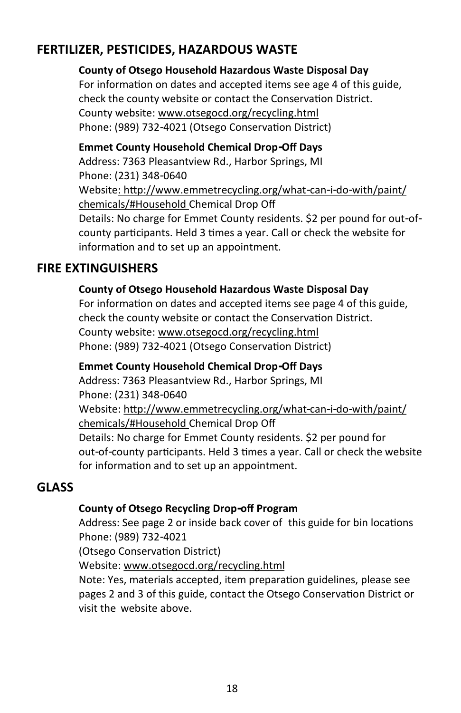### **FERTILIZER, PESTICIDES, HAZARDOUS WASTE**

#### **County of Otsego Household Hazardous Waste Disposal Day**

For information on dates and accepted items see age 4 of this guide, check the county website or contact the Conservation District. County website: [www.otsegocd.org/recycling.html](http://www.otsegocd.org/recycling.html) Phone: (989) 732-4021 (Otsego Conservation District)

### **Emmet County Household Chemical Drop-Off Days**

Address: 7363 Pleasantview Rd., Harbor Springs, MI Phone: (231) 348-0640 Website: http://www.emmetrecycling.org/what-can-i-do-with/paint/ chemicals/#Household Chemical Drop Off Details: No charge for Emmet County residents. \$2 per pound for out-ofcounty participants. Held 3 times a year. Call or check the website for information and to set up an appointment.

### **FIRE EXTINGUISHERS**

#### **County of Otsego Household Hazardous Waste Disposal Day**

For information on dates and accepted items see page 4 of this guide, check the county website or contact the Conservation District. County website: [www.otsegocd.org/recycling.html](http://www.otsegocd.org/recycling.html) Phone: (989) 732-4021 (Otsego Conservation District)

#### **Emmet County Household Chemical Drop-Off Days**

Address: 7363 Pleasantview Rd., Harbor Springs, MI Phone: (231) 348-0640 Website: http://www.emmetrecycling.org/what-can-i-do-with/paint/ chemicals/#Household Chemical Drop Off Details: No charge for Emmet County residents. \$2 per pound for out-of-county participants. Held 3 times a year. Call or check the website for information and to set up an appointment.

#### **GLASS**

#### **County of Otsego Recycling Drop-off Program**

Address: See page 2 or inside back cover of this guide for bin locations Phone: (989) 732-4021

(Otsego Conservation District)

Website: [www.otsegocd.org/recycling.html](http://www.otsegocd.org/recycling.html)

Note: Yes, materials accepted, item preparation guidelines, please see pages 2 and 3 of this guide, contact the Otsego Conservation District or visit the website above.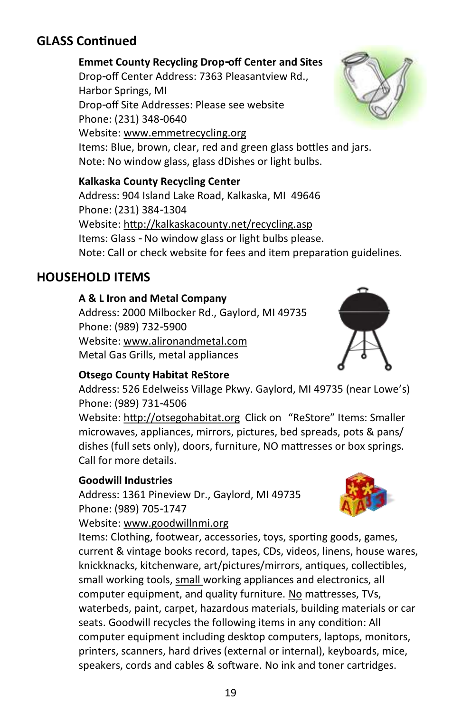### **GLASS Continued**

#### **Emmet County Recycling Drop-off Center and Sites**

Drop-off Center Address: 7363 Pleasantview Rd., Harbor Springs, MI Drop-off Site Addresses: Please see website Phone: (231) 348-0640 Website: www.emmetrecycling.org Items: Blue, brown, clear, red and green glass bottles and jars. Note: No window glass, glass dDishes or light bulbs.

#### **Kalkaska County Recycling Center**

Address: 904 Island Lake Road, Kalkaska, MI 49646 Phone: (231) 384-1304 Website: http://kalkaskacounty.net/recycling.asp Items: Glass - No window glass or light bulbs please. Note: Call or check website for fees and item preparation guidelines.

#### **HOUSEHOLD ITEMS**

#### **A & L Iron and Metal Company**

Address: 2000 Milbocker Rd., Gaylord, MI 49735 Phone: (989) 732-5900 Website: www.alironandmetal.com Metal Gas Grills, metal appliances

#### **Otsego County Habitat ReStore**

Address: 526 Edelweiss Village Pkwy. Gaylord, MI 49735 (near Lowe's) Phone: (989) 731-4506 Website: http://otsegohabitat.org Click on "ReStore" Items: Smaller microwaves, appliances, mirrors, pictures, bed spreads, pots & pans/ dishes (full sets only), doors, furniture, NO mattresses or box springs. Call for more details.

#### **Goodwill Industries**

Address: 1361 Pineview Dr., Gaylord, MI 49735 Phone: (989) 705-1747

Website: www.goodwillnmi.org

Items: Clothing, footwear, accessories, toys, sporting goods, games, current & vintage books record, tapes, CDs, videos, linens, house wares, knickknacks, kitchenware, art/pictures/mirrors, antiques, collectibles, small working tools, small working appliances and electronics, all computer equipment, and quality furniture. No mattresses, TVs, waterbeds, paint, carpet, hazardous materials, building materials or car seats. Goodwill recycles the following items in any condition: All computer equipment including desktop computers, laptops, monitors, printers, scanners, hard drives (external or internal), keyboards, mice, speakers, cords and cables & software. No ink and toner cartridges.







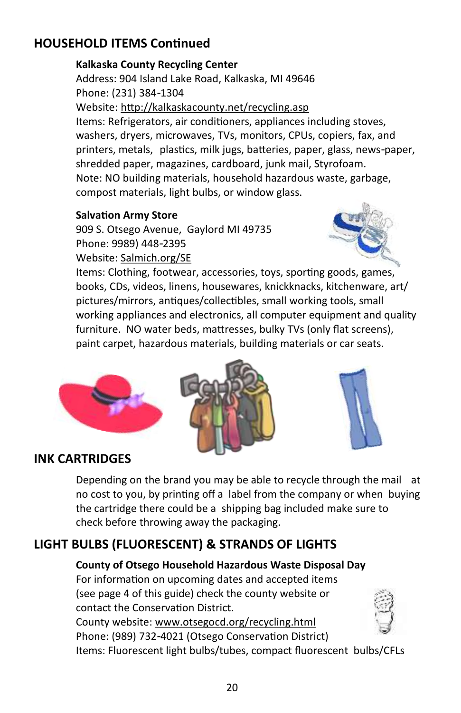### **HOUSEHOLD ITEMS Continued**

#### **Kalkaska County Recycling Center**

Address: 904 Island Lake Road, Kalkaska, MI 49646 Phone: (231) 384-1304 Website: http://kalkaskacounty.net/recycling.asp Items: Refrigerators, air conditioners, appliances including stoves, washers, dryers, microwaves, TVs, monitors, CPUs, copiers, fax, and printers, metals, plastics, milk jugs, batteries, paper, glass, news-paper, shredded paper, magazines, cardboard, junk mail, Styrofoam. Note: NO building materials, household hazardous waste, garbage, compost materials, light bulbs, or window glass.

#### **Salvation Army Store**

909 S. Otsego Avenue, Gaylord MI 49735 Phone: 9989) 448-2395 Website: Salmich.org/SE



Items: Clothing, footwear, accessories, toys, sporting goods, games, books, CDs, videos, linens, housewares, knickknacks, kitchenware, art/ pictures/mirrors, antiques/collectibles, small working tools, small working appliances and electronics, all computer equipment and quality furniture. NO water beds, mattresses, bulky TVs (only flat screens), paint carpet, hazardous materials, building materials or car seats.







### **INK CARTRIDGES**

Depending on the brand you may be able to recycle through the mail at no cost to you, by printing off a label from the company or when buying the cartridge there could be a shipping bag included make sure to check before throwing away the packaging.

### **LIGHT BULBS (FLUORESCENT) & STRANDS OF LIGHTS**

**County of Otsego Household Hazardous Waste Disposal Day** For information on upcoming dates and accepted items (see page 4 of this guide) check the county website or contact the Conservation District. County website: [www.otsegocd.org/recycling.html](http://www.otsegocd.org/recycling.html)

Phone: (989) 732-4021 (Otsego Conservation District)

Items: Fluorescent light bulbs/tubes, compact fluorescent bulbs/CFLs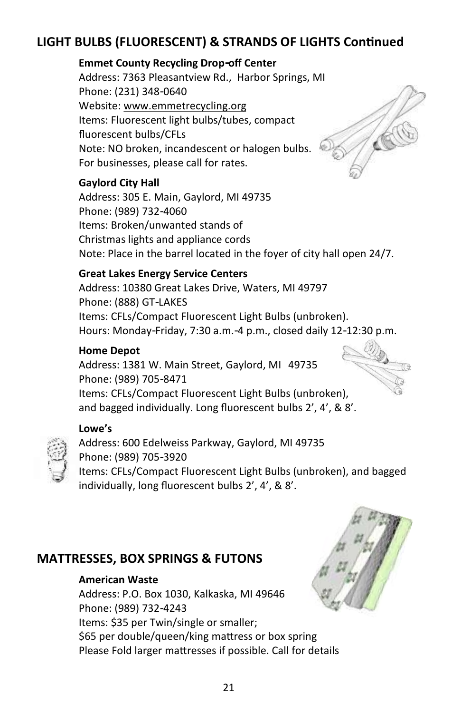### **LIGHT BULBS (FLUORESCENT) & STRANDS OF LIGHTS Continued**

#### **Emmet County Recycling Drop-off Center**

Address: 7363 Pleasantview Rd., Harbor Springs, MI Phone: (231) 348-0640 Website: www.emmetrecycling.org Items: Fluorescent light bulbs/tubes, compact fluorescent bulbs/CFLs Note: NO broken, incandescent or halogen bulbs. For businesses, please call for rates.

#### **Gaylord City Hall**

Address: 305 E. Main, Gaylord, MI 49735 Phone: (989) 732-4060 Items: Broken/unwanted stands of Christmas lights and appliance cords Note: Place in the barrel located in the foyer of city hall open 24/7.

#### **Great Lakes Energy Service Centers**

Address: 10380 Great Lakes Drive, Waters, MI 49797 Phone: (888) GT-LAKES Items: CFLs/Compact Fluorescent Light Bulbs (unbroken). Hours: Monday-Friday, 7:30 a.m.-4 p.m., closed daily 12-12:30 p.m.

#### **Home Depot**

Address: 1381 W. Main Street, Gaylord, MI 49735 Phone: (989) 705-8471 Items: CFLs/Compact Fluorescent Light Bulbs (unbroken), and bagged individually. Long fluorescent bulbs 2', 4', & 8'.

#### **Lowe's**

Address: 600 Edelweiss Parkway, Gaylord, MI 49735 Phone: (989) 705-3920 Items: CFLs/Compact Fluorescent Light Bulbs (unbroken), and bagged individually, long fluorescent bulbs 2', 4', & 8'.

#### **MATTRESSES, BOX SPRINGS & FUTONS**

#### **American Waste**

Address: P.O. Box 1030, Kalkaska, MI 49646 Phone: (989) 732-4243 Items: \$35 per Twin/single or smaller; \$65 per double/queen/king mattress or box spring Please Fold larger mattresses if possible. Call for details

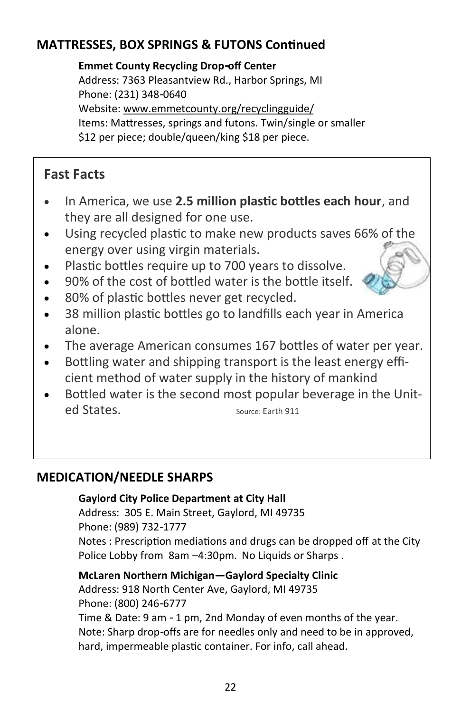### **MATTRESSES, BOX SPRINGS & FUTONS Continued**

**Emmet County Recycling Drop-off Center**  Address: 7363 Pleasantview Rd., Harbor Springs, MI Phone: (231) 348-0640 Website: www.emmetcounty.org/recyclingguide/ Items: Mattresses, springs and futons. Twin/single or smaller \$12 per piece; double/queen/king \$18 per piece.

### **Fast Facts**

- In America, we use **2.5 million plastic bottles each hour**, and they are all designed for one use.
- Using recycled plastic to make new products saves 66% of the energy over using virgin materials.
- Plastic bottles require up to 700 years to dissolve.
- 90% of the cost of bottled water is the bottle itself.
- 80% of plastic bottles never get recycled.
- 38 million plastic bottles go to landfills each year in America alone.
- The average American consumes 167 bottles of water per year.
- Bottling water and shipping transport is the least energy efficient method of water supply in the history of mankind
- Bottled water is the second most popular beverage in the United States. Source: Earth 911

### **MEDICATION/NEEDLE SHARPS**

#### **Gaylord City Police Department at City Hall**

Address: 305 E. Main Street, Gaylord, MI 49735 Phone: (989) 732-1777 Notes : Prescription mediations and drugs can be dropped off at the City Police Lobby from 8am -4:30pm. No Liquids or Sharps.

**McLaren Northern Michigan—Gaylord Specialty Clinic** Address: 918 North Center Ave, Gaylord, MI 49735 Phone: (800) 246-6777 Time & Date: 9 am - 1 pm, 2nd Monday of even months of the year. Note: Sharp drop-offs are for needles only and need to be in approved,

hard, impermeable plastic container. For info, call ahead.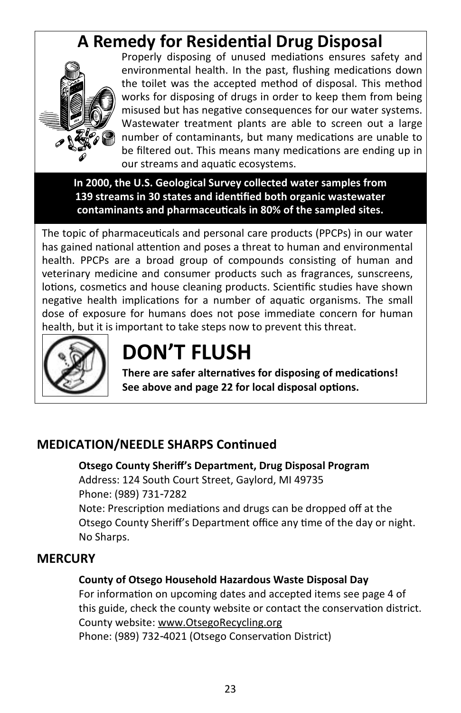## **A Remedy for Residential Drug Disposal**



Properly disposing of unused mediations ensures safety and environmental health. In the past, flushing medications down the toilet was the accepted method of disposal. This method works for disposing of drugs in order to keep them from being misused but has negative consequences for our water systems. Wastewater treatment plants are able to screen out a large number of contaminants, but many medications are unable to be filtered out. This means many medications are ending up in our streams and aquatic ecosystems.

**In 2000, the U.S. Geological Survey collected water samples from 139 streams in 30 states and identified both organic wastewater contaminants and pharmaceuticals in 80% of the sampled sites.**

The topic of pharmaceuticals and personal care products (PPCPs) in our water has gained national attention and poses a threat to human and environmental health. PPCPs are a broad group of compounds consisting of human and veterinary medicine and consumer products such as fragrances, sunscreens, lotions, cosmetics and house cleaning products. Scientific studies have shown negative health implications for a number of aquatic organisms. The small dose of exposure for humans does not pose immediate concern for human health, but it is important to take steps now to prevent this threat.



## **DON'T FLUSH**

**There are safer alternatives for disposing of medications! See above and page 22 for local disposal options.**

### **MEDICATION/NEEDLE SHARPS Continued**

**Otsego County Sheriff's Department, Drug Disposal Program**  Address: 124 South Court Street, Gaylord, MI 49735 Phone: (989) 731-7282 Note: Prescription mediations and drugs can be dropped off at the Otsego County Sheriff's Department office any time of the day or night.

No Sharps.

#### **MERCURY**

#### **County of Otsego Household Hazardous Waste Disposal Day**

For information on upcoming dates and accepted items see page 4 of this guide, check the county website or contact the conservation district. County website: www.OtsegoRecycling.org Phone: (989) 732-4021 (Otsego Conservation District)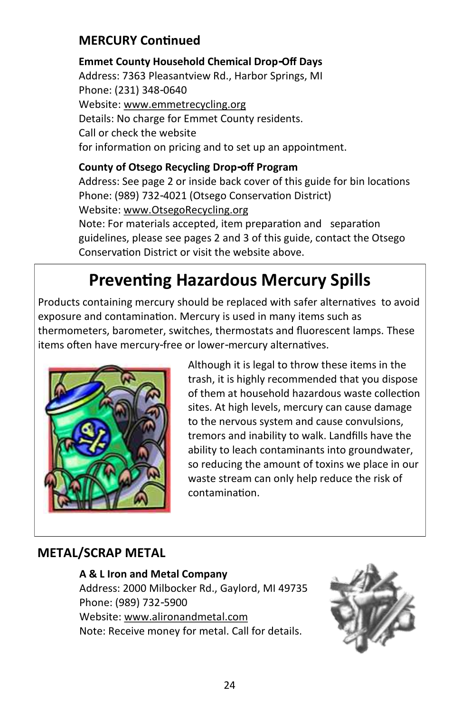### **MERCURY Continued**

**Emmet County Household Chemical Drop-Off Days** Address: 7363 Pleasantview Rd., Harbor Springs, MI Phone: (231) 348-0640 Website: [www.e](http://www.emmetcounty.org/chemical-drop-off-556/)mmetrecycling.org Details: No charge for Emmet County residents. Call or check the website for information on pricing and to set up an appointment.

**County of Otsego Recycling Drop-off Program**  Address: See page 2 or inside back cover of this guide for bin locations Phone: (989) 732-4021 (Otsego Conservation District) Website: www.OtsegoRecycling.org Note: For materials accepted, item preparation and separation guidelines, please see pages 2 and 3 of this guide, contact the Otsego

# **Preventing Hazardous Mercury Spills**

Conservation District or visit the website above.

Products containing mercury should be replaced with safer alternatives to avoid exposure and contamination. Mercury is used in many items such as thermometers, barometer, switches, thermostats and fluorescent lamps. These items often have mercury-free or lower-mercury alternatives.



Although it is legal to throw these items in the trash, it is highly recommended that you dispose of them at household hazardous waste collection sites. At high levels, mercury can cause damage to the nervous system and cause convulsions, tremors and inability to walk. Landfills have the ability to leach contaminants into groundwater, so reducing the amount of toxins we place in our waste stream can only help reduce the risk of contamination.

### **METAL/SCRAP METAL**

#### **A & L Iron and Metal Company**

Address: 2000 Milbocker Rd., Gaylord, MI 49735 Phone: (989) 732-5900 Website: www.alironandmetal.com Note: Receive money for metal. Call for details.

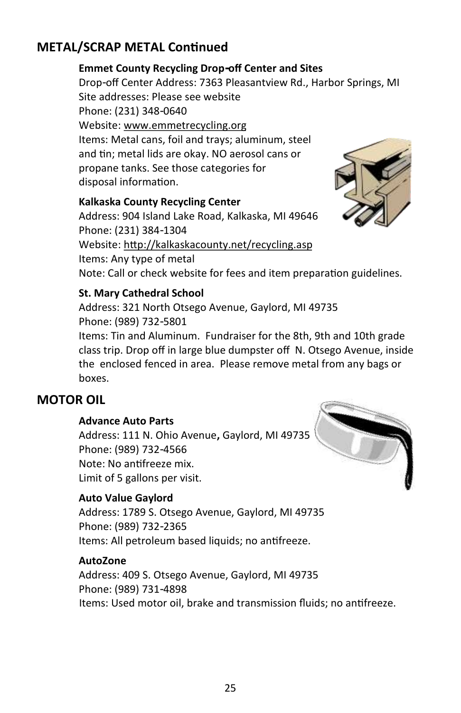### **METAL/SCRAP METAL Continued**

#### **Emmet County Recycling Drop-off Center and Sites**

Drop-off Center Address: 7363 Pleasantview Rd., Harbor Springs, MI Site addresses: Please see website Phone: (231) 348-0640 Website: www.emmetrecycling.org Items: Metal cans, foil and trays; aluminum, steel and tin; metal lids are okay. NO aerosol cans or propane tanks. See those categories for disposal information.

#### **Kalkaska County Recycling Center**

Address: 904 Island Lake Road, Kalkaska, MI 49646 Phone: (231) 384-1304 Website: http://kalkaskacounty.net/recycling.asp Items: Any type of metal Note: Call or check website for fees and item preparation guidelines.



#### **St. Mary Cathedral School**

Address: 321 North Otsego Avenue, Gaylord, MI 49735 Phone: (989) 732-5801

Items: Tin and Aluminum. Fundraiser for the 8th, 9th and 10th grade class trip. Drop off in large blue dumpster off N. Otsego Avenue, inside the enclosed fenced in area. Please remove metal from any bags or boxes.

#### **MOTOR OIL**

#### **Advance Auto Parts**

Address: 111 N. Ohio Avenue**,** Gaylord, MI 49735 Phone: (989) 732-4566 Note: No antifreeze mix. Limit of 5 gallons per visit.

#### **Auto Value Gaylord**

Address: 1789 S. Otsego Avenue, Gaylord, MI 49735 Phone: (989) 732-2365 Items: All petroleum based liquids; no antifreeze.

#### **AutoZone**

Address: 409 S. Otsego Avenue, Gaylord, MI 49735 Phone: (989) 731-4898 Items: Used motor oil, brake and transmission fluids; no antifreeze.

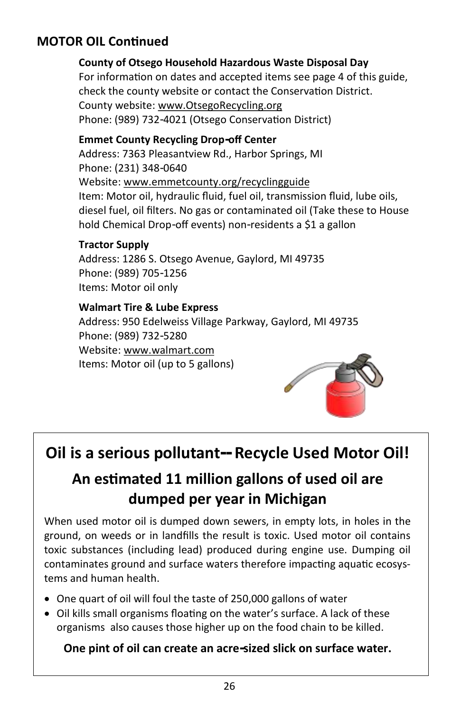### **MOTOR OIL Continued**

### **County of Otsego Household Hazardous Waste Disposal Day**

For information on dates and accepted items see page 4 of this guide, check the county website or contact the Conservation District. County website: www.OtsegoRecycling.org Phone: (989) 732-4021 (Otsego Conservation District)

#### **Emmet County Recycling Drop-off Center**

Address: 7363 Pleasantview Rd., Harbor Springs, MI Phone: (231) 348-0640 Website: www.emmetcounty.org/recyclingguide Item: Motor oil, hydraulic fluid, fuel oil, transmission fluid, lube oils, diesel fuel, oil filters. No gas or contaminated oil (Take these to House hold Chemical Drop-off events) non-residents a \$1 a gallon

#### **Tractor Supply**

Address: 1286 S. Otsego Avenue, Gaylord, MI 49735 Phone: (989) 705-1256 Items: Motor oil only

#### **Walmart Tire & Lube Express**

Address: 950 Edelweiss Village Parkway, Gaylord, MI 49735 Phone: (989) 732-5280 Website: www.walmart.com Items: Motor oil (up to 5 gallons)



## **Oil is a serious pollutant-- Recycle Used Motor Oil!**

### **An estimated 11 million gallons of used oil are dumped per year in Michigan**

When used motor oil is dumped down sewers, in empty lots, in holes in the ground, on weeds or in landfills the result is toxic. Used motor oil contains toxic substances (including lead) produced during engine use. Dumping oil contaminates ground and surface waters therefore impacting aquatic ecosystems and human health.

- One quart of oil will foul the taste of 250,000 gallons of water
- Oil kills small organisms floating on the water's surface. A lack of these organisms also causes those higher up on the food chain to be killed.

#### **One pint of oil can create an acre-sized slick on surface water.**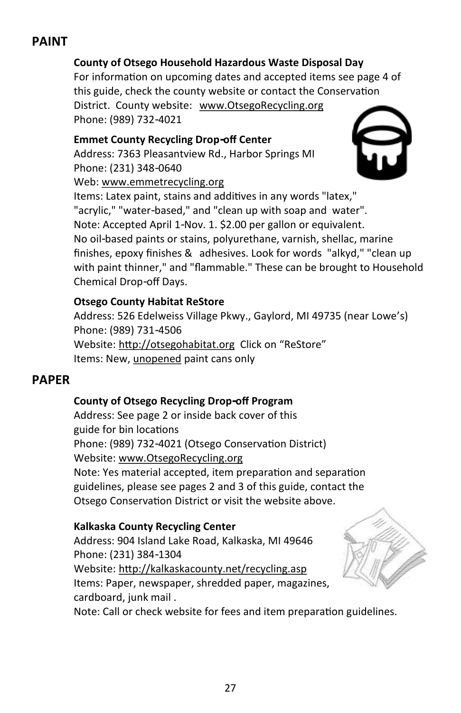### **PAINT**

#### **County of Otsego Household Hazardous Waste Disposal Day**

For information on upcoming dates and accepted items see page 4 of this guide, check the county website or contact the Conservation District. County website: www.OtsegoRecycling.org Phone: (989) 732-4021

#### **Emmet County Recycling Drop-off Center**

Address: 7363 Pleasantview Rd., Harbor Springs MI Phone: (231) 348-0640 Web: www.emmetrecycling.org



Items: Latex paint, stains and additives in any words "latex," "acrylic," "water-based," and "clean up with soap and water". Note: Accepted April 1-Nov. 1. \$2.00 per gallon or equivalent. No oil-based paints or stains, polyurethane, varnish, shellac, marine finishes, epoxy finishes & adhesives. Look for words "alkyd," "clean up with paint thinner," and "flammable." These can be brought to Household Chemical Drop-off Days.

#### **Otsego County Habitat ReStore**

Address: 526 Edelweiss Village Pkwy., Gaylord, MI 49735 (near Lowe's) Phone: (989) 731-4506 Website: http://otsegohabitat.org Click on "ReStore" Items: New, unopened paint cans only

#### **PAPER**

#### **County of Otsego Recycling Drop-off Program**

Address: See page 2 or inside back cover of this guide for bin locations Phone: (989) 732-4021 (Otsego Conservation District) Website: www.OtsegoRecycling.org Note: Yes material accepted, item preparation and separation guidelines, please see pages 2 and 3 of this guide, contact the Otsego Conservation District or visit the website above.

#### **Kalkaska County Recycling Center**

Address: 904 Island Lake Road, Kalkaska, MI 49646 Phone: (231) 384-1304 Website: http://kalkaskacounty.net/recycling.asp Items: Paper, newspaper, shredded paper, magazines, cardboard, junk mail .



Note: Call or check website for fees and item preparation guidelines.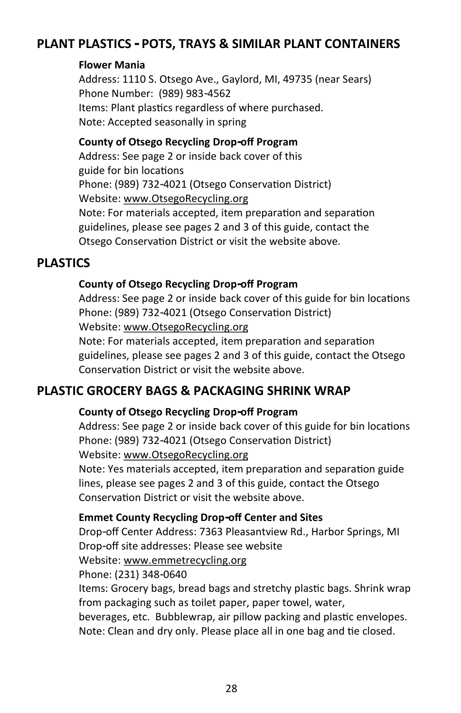### **PLANT PLASTICS - POTS, TRAYS & SIMILAR PLANT CONTAINERS**

#### **Flower Mania**

Address: 1110 S. Otsego Ave., Gaylord, MI, 49735 (near Sears) Phone Number: (989) 983-4562 Items: Plant plastics regardless of where purchased. Note: Accepted seasonally in spring

#### **County of Otsego Recycling Drop-off Program**

Address: See page 2 or inside back cover of this guide for bin locations Phone: (989) 732-4021 (Otsego Conservation District) Website: www.OtsegoRecycling.org Note: For materials accepted, item preparation and separation guidelines, please see pages 2 and 3 of this guide, contact the Otsego Conservation District or visit the website above.

#### **PLASTICS**

#### **County of Otsego Recycling Drop-off Program**

Address: See page 2 or inside back cover of this guide for bin locations Phone: (989) 732-4021 (Otsego Conservation District) Website: www.OtsegoRecycling.org Note: For materials accepted, item preparation and separation guidelines, please see pages 2 and 3 of this guide, contact the Otsego Conservation District or visit the website above.

#### **PLASTIC GROCERY BAGS & PACKAGING SHRINK WRAP**

#### **County of Otsego Recycling Drop-off Program**

Address: See page 2 or inside back cover of this guide for bin locations Phone: (989) 732-4021 (Otsego Conservation District)

Website: www.OtsegoRecycling.org

Note: Yes materials accepted, item preparation and separation guide lines, please see pages 2 and 3 of this guide, contact the Otsego Conservation District or visit the website above.

#### **Emmet County Recycling Drop-off Center and Sites**

Drop-off Center Address: 7363 Pleasantview Rd., Harbor Springs, MI Drop-off site addresses: Please see website

Website: www.emmetrecycling.org

Phone: (231) 348-0640

Items: Grocery bags, bread bags and stretchy plastic bags. Shrink wrap from packaging such as toilet paper, paper towel, water,

beverages, etc. Bubblewrap, air pillow packing and plastic envelopes. Note: Clean and dry only. Please place all in one bag and tie closed.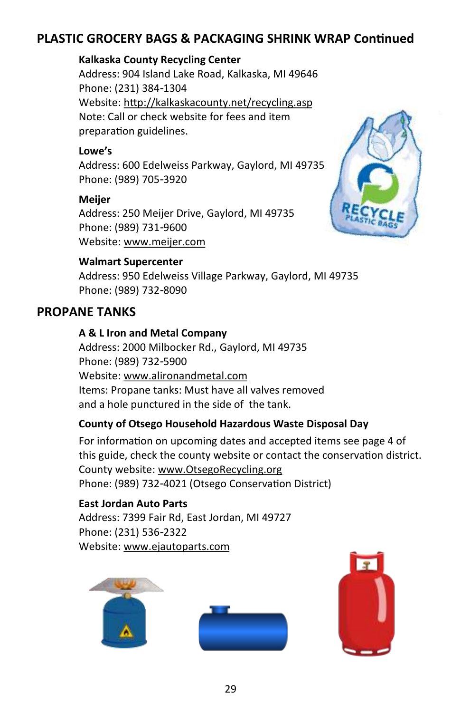### **PLASTIC GROCERY BAGS & PACKAGING SHRINK WRAP Continued**

#### **Kalkaska County Recycling Center**

Address: 904 Island Lake Road, Kalkaska, MI 49646 Phone: (231) 384-1304 Website: http://kalkaskacounty.net/recycling.asp Note: Call or check website for fees and item preparation guidelines.

#### **Lowe's**

Address: 600 Edelweiss Parkway, Gaylord, MI 49735 Phone: (989) 705-3920

#### **Meijer**

Address: 250 Meijer Drive, Gaylord, MI 49735 Phone: (989) 731-9600 Website: www.meijer.com

#### **Walmart Supercenter**

Address: 950 Edelweiss Village Parkway, Gaylord, MI 49735 Phone: (989) 732-8090

### **PROPANE TANKS**

#### **A & L Iron and Metal Company**

Address: 2000 Milbocker Rd., Gaylord, MI 49735 Phone: (989) 732-5900 Website: www.alironandmetal.com Items: Propane tanks: Must have all valves removed and a hole punctured in the side of the tank.

#### **County of Otsego Household Hazardous Waste Disposal Day**

For information on upcoming dates and accepted items see page 4 of this guide, check the county website or contact the conservation district. County website: www.OtsegoRecycling.org Phone: (989) 732-4021 (Otsego Conservation District)

#### **East Jordan Auto Parts**

Address: 7399 Fair Rd, East Jordan, MI 49727 Phone: (231) 536-2322 Website: www.ejautoparts.com







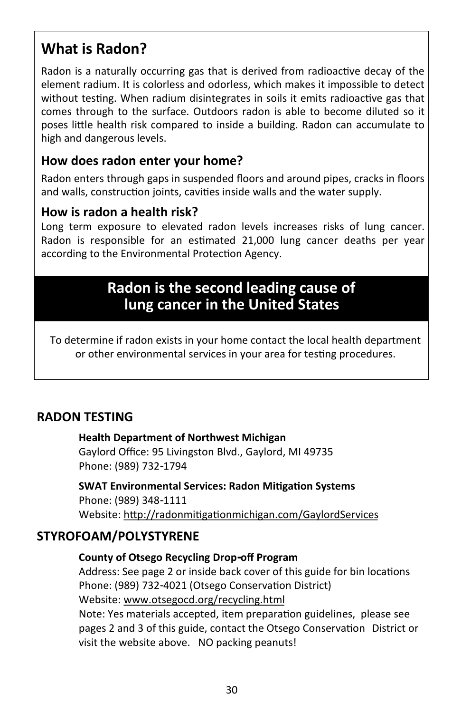### **What is Radon?**

Radon is a naturally occurring gas that is derived from radioactive decay of the element radium. It is colorless and odorless, which makes it impossible to detect without testing. When radium disintegrates in soils it emits radioactive gas that comes through to the surface. Outdoors radon is able to become diluted so it poses little health risk compared to inside a building. Radon can accumulate to high and dangerous levels.

#### **How does radon enter your home?**

Radon enters through gaps in suspended floors and around pipes, cracks in floors and walls, construction joints, cavities inside walls and the water supply.

#### **How is radon a health risk?**

Long term exposure to elevated radon levels increases risks of lung cancer. Radon is responsible for an estimated 21,000 lung cancer deaths per year according to the Environmental Protection Agency.

### **Radon is the second leading cause of lung cancer in the United States**

To determine if radon exists in your home contact the local health department or other environmental services in your area for testing procedures.

#### **RADON TESTING**

#### **Health Department of Northwest Michigan**

Gaylord Office: 95 Livingston Blvd., Gaylord, MI 49735 Phone: (989) 732-1794

**SWAT Environmental Services: Radon Mitigation Systems**  Phone: (989) 348-1111 Website: http://radonmitigationmichigan.com/GaylordServices

#### **STYROFOAM/POLYSTYRENE**

#### **County of Otsego Recycling Drop-off Program**

Address: See page 2 or inside back cover of this guide for bin locations Phone: (989) 732-4021 (Otsego Conservation District) Website: [www.otsegocd.org/recycling.html](http://www.otsegocd.org/recycling.html) Note: Yes materials accepted, item preparation guidelines, please see pages 2 and 3 of this guide, contact the Otsego Conservation District or visit the website above. NO packing peanuts!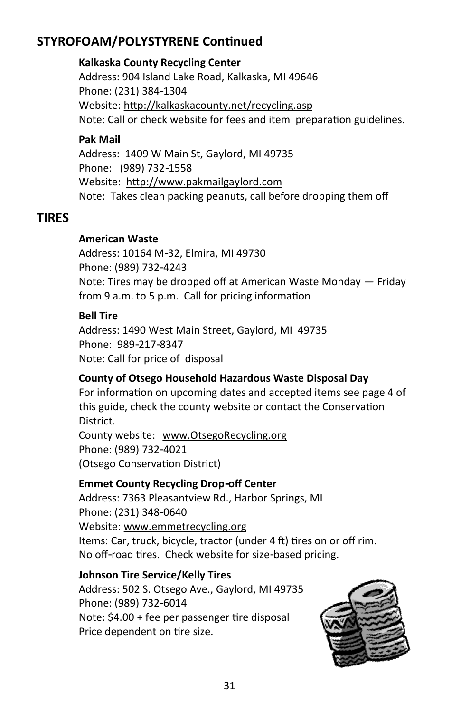### **STYROFOAM/POLYSTYRENE Continued**

#### **Kalkaska County Recycling Center**

Address: 904 Island Lake Road, Kalkaska, MI 49646 Phone: (231) 384-1304 Website: http://kalkaskacounty.net/recycling.asp Note: Call or check website for fees and item preparation guidelines.

#### **Pak Mail**

Address: 1409 W Main St, Gaylord, MI 49735 Phone: (989) 732-1558 Website: http://www.pakmailgaylord.com Note: Takes clean packing peanuts, call before dropping them off

#### **TIRES**

#### **American Waste**

Address: 10164 M-32, Elmira, MI 49730 Phone: (989) 732-4243 Note: Tires may be dropped off at American Waste Monday — Friday from 9 a.m. to 5 p.m. Call for pricing information

#### **Bell Tire**

Address: 1490 West Main Street, Gaylord, MI 49735 Phone: 989-217-8347 Note: Call for price of disposal

#### **County of Otsego Household Hazardous Waste Disposal Day**

For information on upcoming dates and accepted items see page 4 of this guide, check the county website or contact the Conservation District.

County website: www.OtsegoRecycling.org Phone: (989) 732-4021 (Otsego Conservation District)

#### **Emmet County Recycling Drop-off Center**

Address: 7363 Pleasantview Rd., Harbor Springs, MI Phone: (231) 348-0640 Website: www.emmetrecycling.org Items: Car, truck, bicycle, tractor (under 4 ft) tires on or off rim. No off-road tires. Check website for size-based pricing.

#### **Johnson Tire Service/Kelly Tires**

Address: 502 S. Otsego Ave., Gaylord, MI 49735 Phone: (989) 732-6014 Note: \$4.00 + fee per passenger tire disposal Price dependent on tire size.

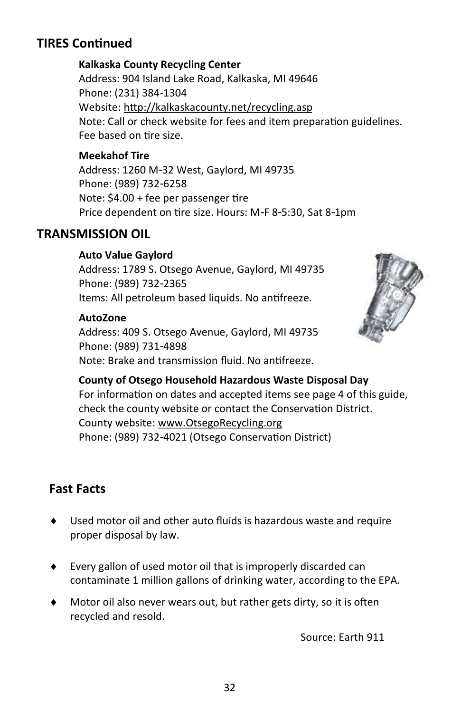### **TIRES Continued**

#### **Kalkaska County Recycling Center**

Address: 904 Island Lake Road, Kalkaska, MI 49646 Phone: (231) 384-1304 Website: http://kalkaskacounty.net/recycling.asp Note: Call or check website for fees and item preparation guidelines. Fee based on tire size.

#### **Meekahof Tire**

Address: 1260 M-32 West, Gaylord, MI 49735 Phone: (989) 732-6258 Note: \$4.00 + fee per passenger tire Price dependent on tire size. Hours: M-F 8-5:30, Sat 8-1pm

#### **TRANSMISSION OIL**

#### **Auto Value Gaylord**

Address: 1789 S. Otsego Avenue, Gaylord, MI 49735 Phone: (989) 732-2365 Items: All petroleum based liquids. No antifreeze.

#### **AutoZone**

Address: 409 S. Otsego Avenue, Gaylord, MI 49735 Phone: (989) 731-4898 Note: Brake and transmission fluid. No antifreeze.



**County of Otsego Household Hazardous Waste Disposal Day** For information on dates and accepted items see page 4 of this guide, check the county website or contact the Conservation District. County website: www.OtsegoRecycling.org Phone: (989) 732-4021 (Otsego Conservation District)

### **Fast Facts**

- Used motor oil and other auto fluids is hazardous waste and require proper disposal by law.
- Every gallon of used motor oil that is improperly discarded can contaminate 1 million gallons of drinking water, [according to the EPA.](http://www.deq.state.ms.us/mdeq.nsf/page/Recycling_UsedMotorOil)
- Motor oil also never wears out, but rather gets dirty, so [it is often](http://www.epa.gov/osw/conserve/materials/usedoil/oil.htm)  [recycled](http://www.epa.gov/osw/conserve/materials/usedoil/oil.htm) and [resold.](https://earth911.com/tech/valvoline-debuts-groundbreaking-re-refined-oil/)

Source: Earth 911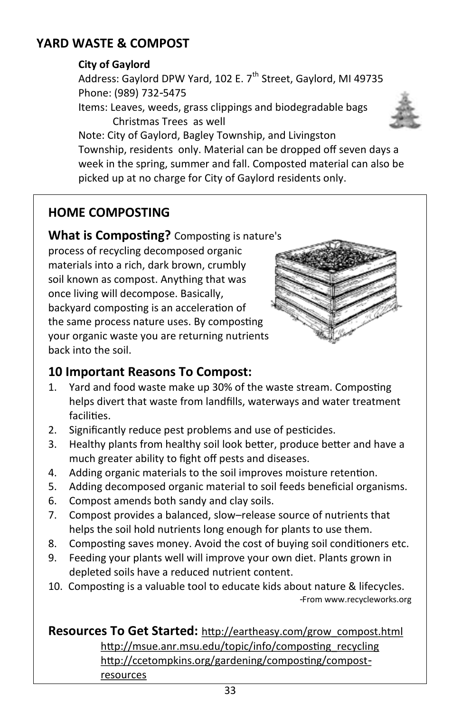### **YARD WASTE & COMPOST**

#### **City of Gaylord**

Address: Gaylord DPW Yard, 102 E. 7<sup>th</sup> Street, Gaylord, MI 49735 Phone: (989) 732-5475

Items: Leaves, weeds, grass clippings and biodegradable bags Christmas Trees as well



Note: City of Gaylord, Bagley Township, and Livingston Township, residents only. Material can be dropped off seven days a week in the spring, summer and fall. Composted material can also be picked up at no charge for City of Gaylord residents only.

### **HOME COMPOSTING**

**What is Composting?** Composting is nature's

process of recycling decomposed organic materials into a rich, dark brown, crumbly soil known as compost. Anything that was once living will decompose. Basically, backyard composting is an acceleration of the same process nature uses. By composting your organic waste you are returning nutrients back into the soil.



### **10 Important Reasons To Compost:**

- 1. Yard and food waste make up 30% of the waste stream. Composting helps divert that waste from landfills, waterways and water treatment facilities.
- 2. Significantly reduce pest problems and use of pesticides.
- 3. Healthy plants from healthy soil look better, produce better and have a much greater ability to fight off pests and diseases.
- 4. Adding organic materials to the soil improves moisture retention.
- 5. Adding decomposed organic material to soil feeds beneficial organisms.
- 6. Compost amends both sandy and clay soils.
- 7. Compost provides a balanced, slow–release source of nutrients that helps the soil hold nutrients long enough for plants to use them.
- 8. Composting saves money. Avoid the cost of buying soil conditioners etc.
- 9. Feeding your plants well will improve your own diet. Plants grown in depleted soils have a reduced nutrient content.
- 10. Composting is a valuable tool to educate kids about nature & lifecycles. -From www.recycleworks.org

#### **Resources To Get Started:** [http://eartheasy.com/grow\\_compost.html](http://eartheasy.com/grow_compost.html) [http://msue.anr.msu.edu/topic/info/composting\\_recycling](http://msue.anr.msu.edu/topic/info/composting_recycling) http://ccetompkins.org/gardening/composting/compost resources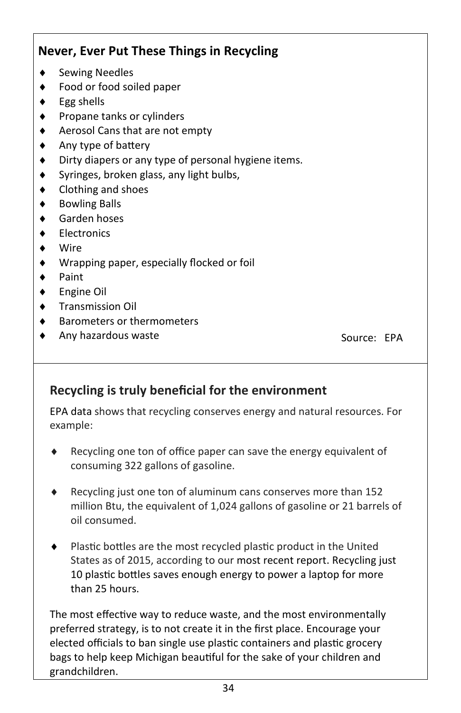### **Never, Ever Put These Things in Recycling** Sewing Needles Food or food soiled paper Egg shells Propane tanks or cylinders Aerosol Cans that are not empty Any type of battery Dirty diapers or any type of personal hygiene items.  $\bullet$  Syringes, broken glass, any light bulbs, Clothing and shoes ◆ Bowling Balls Garden hoses **Electronics**  Wire Wrapping paper, especially flocked or foil Paint Engine Oil Transmission Oil Barometers or thermometers Any hazardous waste Source: EPA

### **Recycling is truly beneficial for the environment**

[EPA data](https://www.epa.gov/facts-and-figures-about-materials-waste-and-recycling/advancing-sustainable-materials-management) shows that recycling conserves energy and natural resources. For example:

- ◆ Recycling one ton of office paper can save the energy equivalent of consuming 322 gallons of gasoline.
- Recycling just one ton of aluminum cans conserves more than 152 million Btu, the equivalent of 1,024 gallons of gasoline or 21 barrels of oil consumed.
- Plastic bottles are the most recycled plastic product in the United States as of 2015, according to our [most recent report.](https://www.epa.gov/facts-and-figures-about-materials-waste-and-recycling/advancing-sustainable-materials-management) [Recycling](https://www.epa.gov/recycle) just 10 plastic bottles saves enough energy to power a laptop for more than 25 hours.

The most effective way to reduce waste, and the most environmentally preferred strategy, is to not create it in the first place. Encourage your elected officials to ban single use plastic containers and plastic grocery bags to help keep Michigan beautiful for the sake of your children and grandchildren.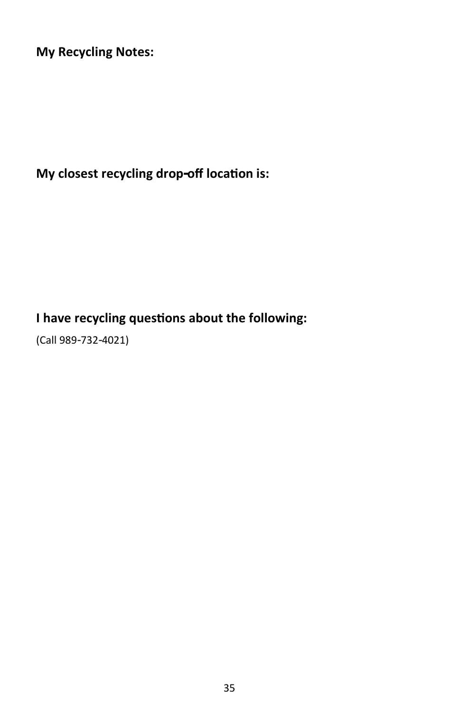**My Recycling Notes:**

**My closest recycling drop-off location is:**

### **I have recycling questions about the following:**

(Call 989-732-4021)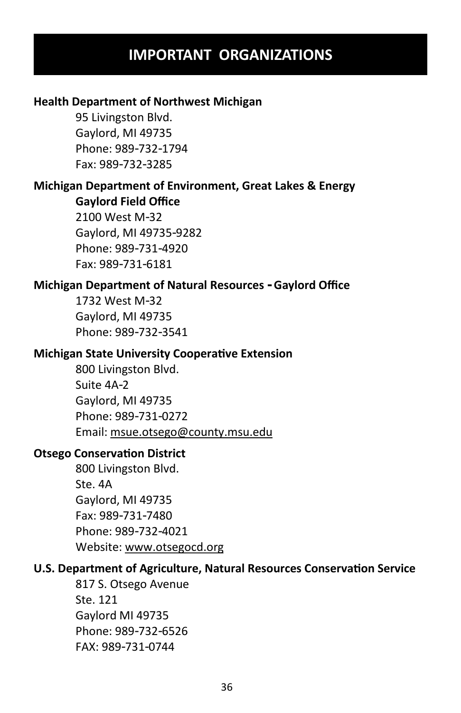### **IMPORTANT ORGANIZATIONS**

#### **Health Department of Northwest Michigan**

95 Livingston Blvd. Gaylord, MI 49735 Phone: 989-732-1794 Fax: 989-732-3285

#### **Michigan Department of Environment, Great Lakes & Energy Gaylord Field Office**

2100 West M-32 Gaylord, MI 49735-9282 Phone: 989-731-4920 Fax: 989-731-6181

#### **Michigan Department of Natural Resources - Gaylord Office**

1732 West M-32 Gaylord, MI 49735 Phone: 989-732-3541

#### **Michigan State University Cooperative Extension**

800 Livingston Blvd. Suite 4A-2 Gaylord, MI 49735 Phone: 989-731-0272 Email: msue.otsego@county.msu.edu

#### **Otsego Conservation District**

800 Livingston Blvd. Ste. 4A Gaylord, MI 49735 Fax: 989-731-7480 Phone: 989-732-4021 Website: www.otsegocd.org

#### **U.S. Department of Agriculture, Natural Resources Conservation Service**

817 S. Otsego Avenue Ste. 121 Gaylord MI 49735 Phone: 989-732-6526 FAX: 989-731-0744